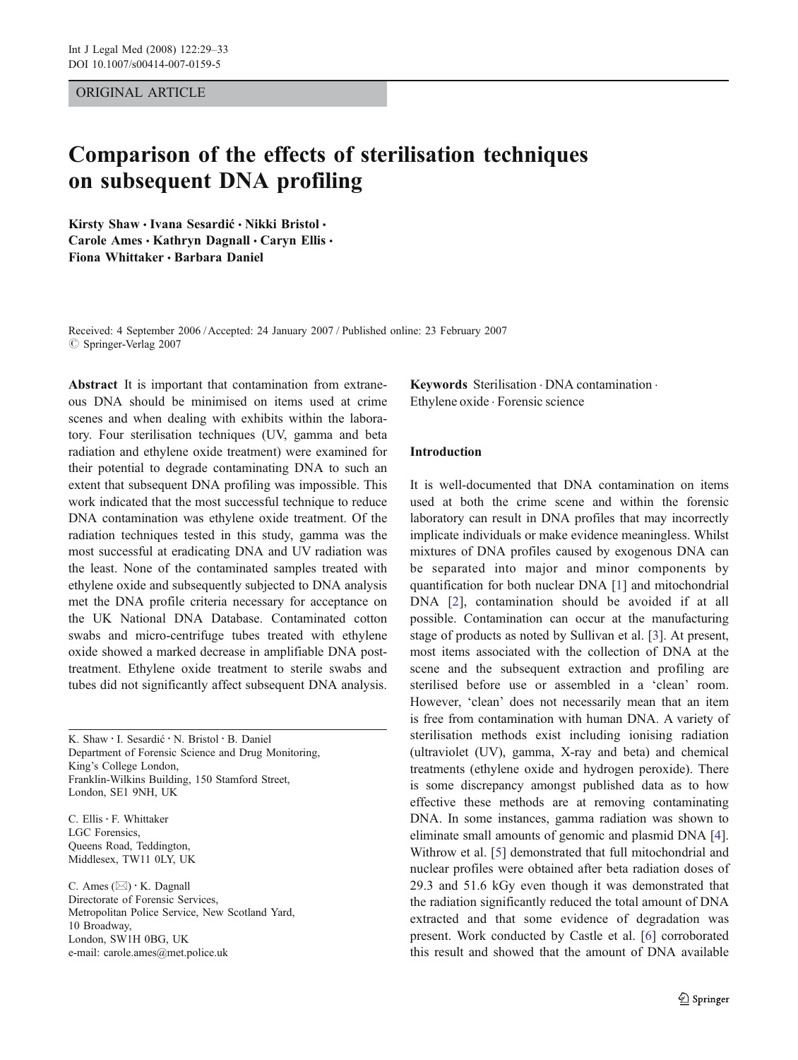# ORIGINAL ARTICLE

# Comparison of the effects of sterilisation techniques on subsequent DNA profiling

Kirsty Shaw · Ivana Sesardić · Nikki Bristol · Carole Ames · Kathryn Dagnall · Caryn Ellis · Fiona Whittaker · Barbara Daniel

Received: 4 September 2006 /Accepted: 24 January 2007 / Published online: 23 February 2007  $\oslash$  Springer-Verlag 2007

Abstract It is important that contamination from extraneous DNA should be minimised on items used at crime scenes and when dealing with exhibits within the laboratory. Four sterilisation techniques (UV, gamma and beta radiation and ethylene oxide treatment) were examined for their potential to degrade contaminating DNA to such an extent that subsequent DNA profiling was impossible. This work indicated that the most successful technique to reduce DNA contamination was ethylene oxide treatment. Of the radiation techniques tested in this study, gamma was the most successful at eradicating DNA and UV radiation was the least. None of the contaminated samples treated with ethylene oxide and subsequently subjected to DNA analysis met the DNA profile criteria necessary for acceptance on the UK National DNA Database. Contaminated cotton swabs and micro-centrifuge tubes treated with ethylene oxide showed a marked decrease in amplifiable DNA posttreatment. Ethylene oxide treatment to sterile swabs and tubes did not significantly affect subsequent DNA analysis.

K. Shaw : I. Sesardi<sup>ć</sup> : N. Bristol : B. Daniel Department of Forensic Science and Drug Monitoring, King's College London, Franklin-Wilkins Building, 150 Stamford Street, London, SE1 9NH, UK

C. Ellis · F. Whittaker LGC Forensics, Queens Road, Teddington, Middlesex, TW11 0LY, UK

C. Ames (*\**) : K. Dagnall Directorate of Forensic Services, Metropolitan Police Service, New Scotland Yard, 10 Broadway, London, SW1H 0BG, UK e-mail: carole.ames@met.police.uk

Keywords Sterilisation . DNA contamination . Ethylene oxide . Forensic science

## Introduction

It is well-documented that DNA contamination on items used at both the crime scene and within the forensic laboratory can result in DNA profiles that may incorrectly implicate individuals or make evidence meaningless. Whilst mixtures of DNA profiles caused by exogenous DNA can be separated into major and minor components by quantification for both nuclear DNA [[1\]](#page-4-0) and mitochondrial DNA [[2\]](#page-4-0), contamination should be avoided if at all possible. Contamination can occur at the manufacturing stage of products as noted by Sullivan et al. [\[3](#page-4-0)]. At present, most items associated with the collection of DNA at the scene and the subsequent extraction and profiling are sterilised before use or assembled in a 'clean' room. However, 'clean' does not necessarily mean that an item is free from contamination with human DNA. A variety of sterilisation methods exist including ionising radiation (ultraviolet (UV), gamma, X-ray and beta) and chemical treatments (ethylene oxide and hydrogen peroxide). There is some discrepancy amongst published data as to how effective these methods are at removing contaminating DNA. In some instances, gamma radiation was shown to eliminate small amounts of genomic and plasmid DNA [[4\]](#page-4-0). Withrow et al. [[5\]](#page-4-0) demonstrated that full mitochondrial and nuclear profiles were obtained after beta radiation doses of 29.3 and 51.6 kGy even though it was demonstrated that the radiation significantly reduced the total amount of DNA extracted and that some evidence of degradation was present. Work conducted by Castle et al. [[6\]](#page-4-0) corroborated this result and showed that the amount of DNA available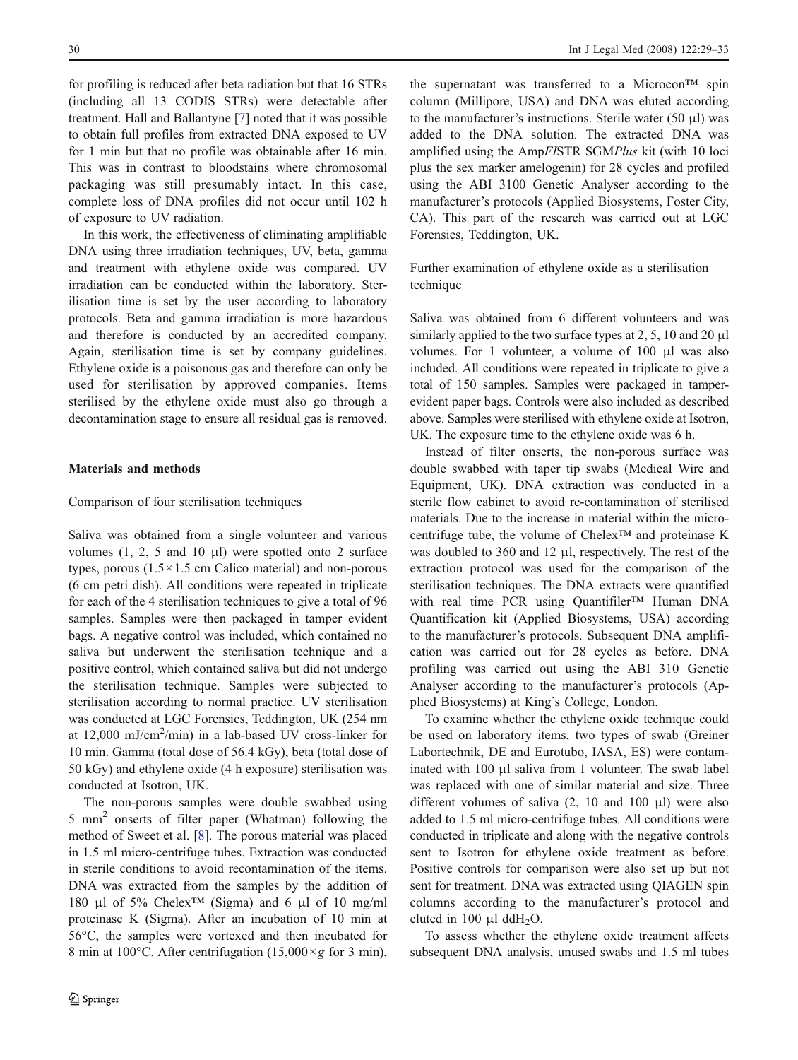for profiling is reduced after beta radiation but that 16 STRs (including all 13 CODIS STRs) were detectable after treatment. Hall and Ballantyne [\[7](#page-4-0)] noted that it was possible to obtain full profiles from extracted DNA exposed to UV for 1 min but that no profile was obtainable after 16 min. This was in contrast to bloodstains where chromosomal packaging was still presumably intact. In this case, complete loss of DNA profiles did not occur until 102 h of exposure to UV radiation.

In this work, the effectiveness of eliminating amplifiable DNA using three irradiation techniques, UV, beta, gamma and treatment with ethylene oxide was compared. UV irradiation can be conducted within the laboratory. Sterilisation time is set by the user according to laboratory protocols. Beta and gamma irradiation is more hazardous and therefore is conducted by an accredited company. Again, sterilisation time is set by company guidelines. Ethylene oxide is a poisonous gas and therefore can only be used for sterilisation by approved companies. Items sterilised by the ethylene oxide must also go through a decontamination stage to ensure all residual gas is removed.

## Materials and methods

### Comparison of four sterilisation techniques

Saliva was obtained from a single volunteer and various volumes  $(1, 2, 5 \text{ and } 10 \text{ }\mu\text{I})$  were spotted onto 2 surface types, porous  $(1.5 \times 1.5 \text{ cm}$  Calico material) and non-porous (6 cm petri dish). All conditions were repeated in triplicate for each of the 4 sterilisation techniques to give a total of 96 samples. Samples were then packaged in tamper evident bags. A negative control was included, which contained no saliva but underwent the sterilisation technique and a positive control, which contained saliva but did not undergo the sterilisation technique. Samples were subjected to sterilisation according to normal practice. UV sterilisation was conducted at LGC Forensics, Teddington, UK (254 nm at  $12,000 \text{ mJ/cm}^2/\text{min}$ ) in a lab-based UV cross-linker for 10 min. Gamma (total dose of 56.4 kGy), beta (total dose of 50 kGy) and ethylene oxide (4 h exposure) sterilisation was conducted at Isotron, UK.

The non-porous samples were double swabbed using 5 mm<sup>2</sup> onserts of filter paper (Whatman) following the method of Sweet et al. [[8\]](#page-4-0). The porous material was placed in 1.5 ml micro-centrifuge tubes. Extraction was conducted in sterile conditions to avoid recontamination of the items. DNA was extracted from the samples by the addition of 180 μl of 5% Chelex<sup>TM</sup> (Sigma) and 6 μl of 10 mg/ml proteinase K (Sigma). After an incubation of 10 min at 56°C, the samples were vortexed and then incubated for 8 min at 100 $^{\circ}$ C. After centrifugation (15,000 $\times$ g for 3 min),

the supernatant was transferred to a Microcon<sup>TM</sup> spin column (Millipore, USA) and DNA was eluted according to the manufacturer's instructions. Sterile water  $(50 \mu l)$  was added to the DNA solution. The extracted DNA was amplified using the AmpFISTR SGMPlus kit (with 10 loci plus the sex marker amelogenin) for 28 cycles and profiled using the ABI 3100 Genetic Analyser according to the manufacturer's protocols (Applied Biosystems, Foster City, CA). This part of the research was carried out at LGC Forensics, Teddington, UK.

Further examination of ethylene oxide as a sterilisation technique

Saliva was obtained from 6 different volunteers and was similarly applied to the two surface types at 2, 5, 10 and 20 μl volumes. For 1 volunteer, a volume of 100 μl was also included. All conditions were repeated in triplicate to give a total of 150 samples. Samples were packaged in tamperevident paper bags. Controls were also included as described above. Samples were sterilised with ethylene oxide at Isotron, UK. The exposure time to the ethylene oxide was 6 h.

Instead of filter onserts, the non-porous surface was double swabbed with taper tip swabs (Medical Wire and Equipment, UK). DNA extraction was conducted in a sterile flow cabinet to avoid re-contamination of sterilised materials. Due to the increase in material within the microcentrifuge tube, the volume of Chelex™ and proteinase K was doubled to 360 and 12 μl, respectively. The rest of the extraction protocol was used for the comparison of the sterilisation techniques. The DNA extracts were quantified with real time PCR using Quantifiler™ Human DNA Quantification kit (Applied Biosystems, USA) according to the manufacturer's protocols. Subsequent DNA amplification was carried out for 28 cycles as before. DNA profiling was carried out using the ABI 310 Genetic Analyser according to the manufacturer's protocols (Applied Biosystems) at King's College, London.

To examine whether the ethylene oxide technique could be used on laboratory items, two types of swab (Greiner Labortechnik, DE and Eurotubo, IASA, ES) were contaminated with 100 μl saliva from 1 volunteer. The swab label was replaced with one of similar material and size. Three different volumes of saliva (2, 10 and 100 μl) were also added to 1.5 ml micro-centrifuge tubes. All conditions were conducted in triplicate and along with the negative controls sent to Isotron for ethylene oxide treatment as before. Positive controls for comparison were also set up but not sent for treatment. DNA was extracted using QIAGEN spin columns according to the manufacturer's protocol and eluted in 100  $\mu$ l ddH<sub>2</sub>O.

To assess whether the ethylene oxide treatment affects subsequent DNA analysis, unused swabs and 1.5 ml tubes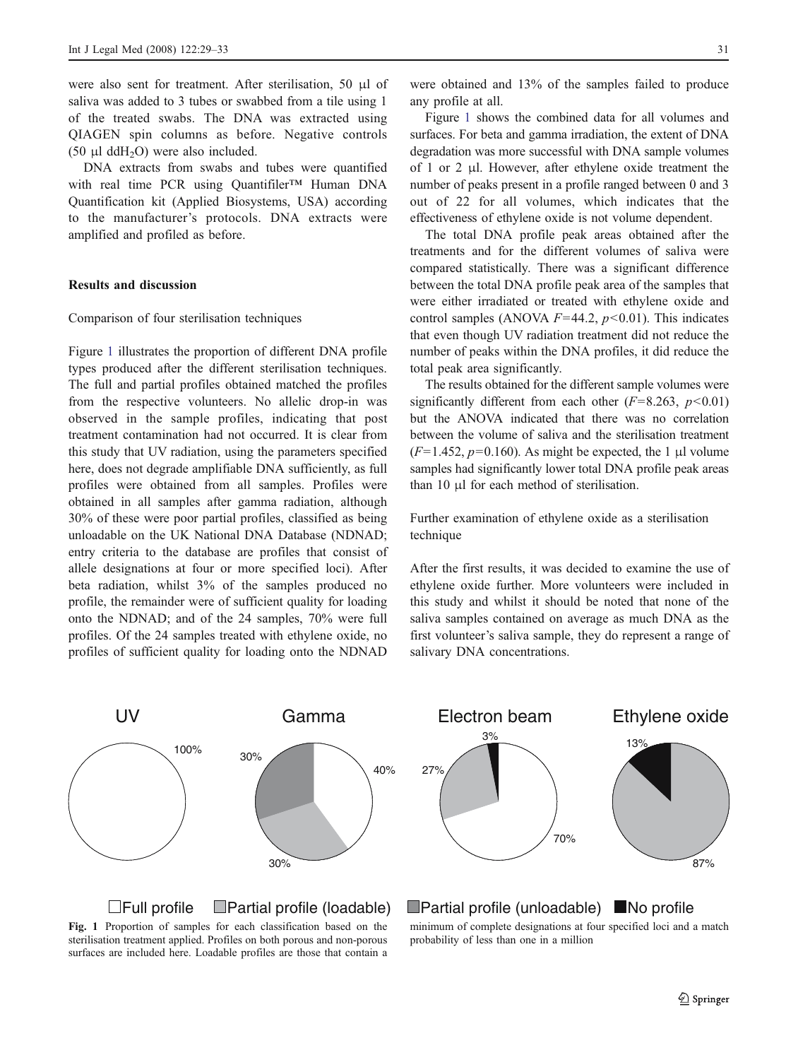were also sent for treatment. After sterilisation, 50 μl of saliva was added to 3 tubes or swabbed from a tile using 1 of the treated swabs. The DNA was extracted using QIAGEN spin columns as before. Negative controls (50  $\mu$ l ddH<sub>2</sub>O) were also included.

DNA extracts from swabs and tubes were quantified with real time PCR using Quantifiler™ Human DNA Quantification kit (Applied Biosystems, USA) according to the manufacturer's protocols. DNA extracts were amplified and profiled as before.

# Results and discussion

#### Comparison of four sterilisation techniques

Figure 1 illustrates the proportion of different DNA profile types produced after the different sterilisation techniques. The full and partial profiles obtained matched the profiles from the respective volunteers. No allelic drop-in was observed in the sample profiles, indicating that post treatment contamination had not occurred. It is clear from this study that UV radiation, using the parameters specified here, does not degrade amplifiable DNA sufficiently, as full profiles were obtained from all samples. Profiles were obtained in all samples after gamma radiation, although 30% of these were poor partial profiles, classified as being unloadable on the UK National DNA Database (NDNAD; entry criteria to the database are profiles that consist of allele designations at four or more specified loci). After beta radiation, whilst 3% of the samples produced no profile, the remainder were of sufficient quality for loading onto the NDNAD; and of the 24 samples, 70% were full profiles. Of the 24 samples treated with ethylene oxide, no profiles of sufficient quality for loading onto the NDNAD

were obtained and 13% of the samples failed to produce any profile at all.

Figure 1 shows the combined data for all volumes and surfaces. For beta and gamma irradiation, the extent of DNA degradation was more successful with DNA sample volumes of 1 or 2 μl. However, after ethylene oxide treatment the number of peaks present in a profile ranged between 0 and 3 out of 22 for all volumes, which indicates that the effectiveness of ethylene oxide is not volume dependent.

The total DNA profile peak areas obtained after the treatments and for the different volumes of saliva were compared statistically. There was a significant difference between the total DNA profile peak area of the samples that were either irradiated or treated with ethylene oxide and control samples (ANOVA  $F=44.2$ ,  $p<0.01$ ). This indicates that even though UV radiation treatment did not reduce the number of peaks within the DNA profiles, it did reduce the total peak area significantly.

The results obtained for the different sample volumes were significantly different from each other  $(F=8.263, p<0.01)$ but the ANOVA indicated that there was no correlation between the volume of saliva and the sterilisation treatment  $(F=1.452, p=0.160)$ . As might be expected, the 1 µl volume samples had significantly lower total DNA profile peak areas than 10 μl for each method of sterilisation.

Further examination of ethylene oxide as a sterilisation technique

After the first results, it was decided to examine the use of ethylene oxide further. More volunteers were included in this study and whilst it should be noted that none of the saliva samples contained on average as much DNA as the first volunteer's saliva sample, they do represent a range of salivary DNA concentrations.

Electron beam

3%

27%



 $\Box$ Full profile  $\Box$ Partial profile (loadable)  $\Box$ Partial profile (unloadable)  $\Box$ No profile



minimum of complete designations at four specified loci and a match probability of less than one in a million

70%

87%

Ethylene oxide

13%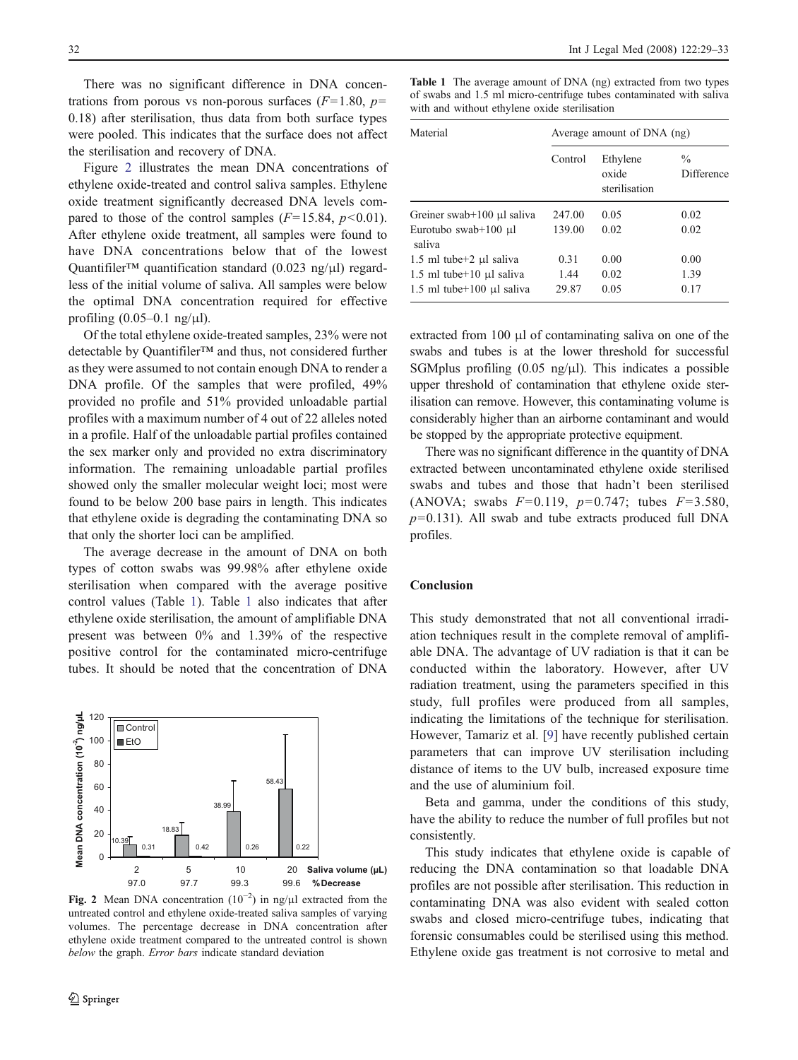There was no significant difference in DNA concentrations from porous vs non-porous surfaces  $(F=1.80, p=$ 0.18) after sterilisation, thus data from both surface types were pooled. This indicates that the surface does not affect the sterilisation and recovery of DNA.

Figure 2 illustrates the mean DNA concentrations of ethylene oxide-treated and control saliva samples. Ethylene oxide treatment significantly decreased DNA levels compared to those of the control samples  $(F=15.84, p<0.01)$ . After ethylene oxide treatment, all samples were found to have DNA concentrations below that of the lowest Quantifiler™ quantification standard (0.023 ng/μl) regardless of the initial volume of saliva. All samples were below the optimal DNA concentration required for effective profiling  $(0.05-0.1 \text{ ng/}\mu\text{l})$ .

Of the total ethylene oxide-treated samples, 23% were not detectable by Quantifiler™ and thus, not considered further as they were assumed to not contain enough DNA to render a DNA profile. Of the samples that were profiled, 49% provided no profile and 51% provided unloadable partial profiles with a maximum number of 4 out of 22 alleles noted in a profile. Half of the unloadable partial profiles contained the sex marker only and provided no extra discriminatory information. The remaining unloadable partial profiles showed only the smaller molecular weight loci; most were found to be below 200 base pairs in length. This indicates that ethylene oxide is degrading the contaminating DNA so that only the shorter loci can be amplified.

The average decrease in the amount of DNA on both types of cotton swabs was 99.98% after ethylene oxide sterilisation when compared with the average positive control values (Table 1). Table 1 also indicates that after ethylene oxide sterilisation, the amount of amplifiable DNA present was between 0% and 1.39% of the respective positive control for the contaminated micro-centrifuge tubes. It should be noted that the concentration of DNA



untreated control and ethylene oxide-treated saliva samples of varying volumes. The percentage decrease in DNA concentration after ethylene oxide treatment compared to the untreated control is shown below the graph. Error bars indicate standard deviation

Table 1 The average amount of DNA (ng) extracted from two types of swabs and 1.5 ml micro-centrifuge tubes contaminated with saliva with and without ethylene oxide sterilisation

| Material                        | Average amount of DNA (ng) |                                    |                             |
|---------------------------------|----------------------------|------------------------------------|-----------------------------|
|                                 | Control                    | Ethylene<br>oxide<br>sterilisation | $\frac{0}{0}$<br>Difference |
| Greiner swab+100 $\mu$ l saliva | 247.00                     | 0.05                               | 0.02                        |
| Eurotubo swab+100 µl<br>saliva  | 139.00                     | 0.02                               | 0.02                        |
| $1.5$ ml tube $+2$ µl saliva    | 0.31                       | 0.00                               | 0.00                        |
| $1.5$ ml tube + 10 µl saliva    | 1.44                       | 0.02                               | 1.39                        |
| $1.5$ ml tube + 100 µl saliva   | 29.87                      | 0.05                               | 0.17                        |

extracted from 100 μl of contaminating saliva on one of the swabs and tubes is at the lower threshold for successful SGMplus profiling  $(0.05 \text{ ng/}\mu l)$ . This indicates a possible upper threshold of contamination that ethylene oxide sterilisation can remove. However, this contaminating volume is considerably higher than an airborne contaminant and would be stopped by the appropriate protective equipment.

There was no significant difference in the quantity of DNA extracted between uncontaminated ethylene oxide sterilised swabs and tubes and those that hadn't been sterilised (ANOVA; swabs  $F=0.119$ ,  $p=0.747$ ; tubes  $F=3.580$ ,  $p=0.131$ ). All swab and tube extracts produced full DNA profiles.

#### Conclusion

This study demonstrated that not all conventional irradiation techniques result in the complete removal of amplifiable DNA. The advantage of UV radiation is that it can be conducted within the laboratory. However, after UV radiation treatment, using the parameters specified in this study, full profiles were produced from all samples, indicating the limitations of the technique for sterilisation. However, Tamariz et al. [\[9](#page-4-0)] have recently published certain parameters that can improve UV sterilisation including distance of items to the UV bulb, increased exposure time and the use of aluminium foil.

Beta and gamma, under the conditions of this study, have the ability to reduce the number of full profiles but not consistently.

This study indicates that ethylene oxide is capable of reducing the DNA contamination so that loadable DNA profiles are not possible after sterilisation. This reduction in contaminating DNA was also evident with sealed cotton swabs and closed micro-centrifuge tubes, indicating that forensic consumables could be sterilised using this method. Ethylene oxide gas treatment is not corrosive to metal and